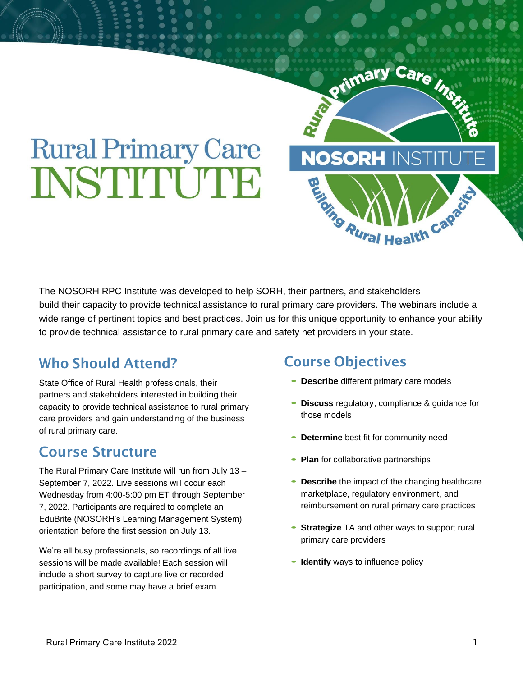# **Rural Primary Care** INSTITUUTE

The NOSORH RPC Institute was developed to help SORH, their partners, and stakeholders build their capacity to provide technical assistance to rural primary care providers. The webinars include a wide range of pertinent topics and best practices. Join us for this unique opportunity to enhance your ability to provide technical assistance to rural primary care and safety net providers in your state.

# Who Should Attend?

State Office of Rural Health professionals, their partners and stakeholders interested in building their capacity to provide technical assistance to rural primary care providers and gain understanding of the business of rural primary care.

# Course Structure

The Rural Primary Care Institute will run from July 13 – September 7, 2022. Live sessions will occur each Wednesday from 4:00-5:00 pm ET through September 7, 2022. Participants are required to complete an EduBrite (NOSORH's Learning Management System) orientation before the first session on July 13.

We're all busy professionals, so recordings of all live sessions will be made available! Each session will include a short survey to capture live or recorded participation, and some may have a brief exam.

# Course Objectives

- **Describe** different primary care models
- **Discuss** regulatory, compliance & guidance for those models

Primary Care Inc.

**NOSORH INST** 

**EN AURAL Health Capes** 

- **Determine** best fit for community need
- **Plan** for collaborative partnerships
- **Describe** the impact of the changing healthcare marketplace, regulatory environment, and reimbursement on rural primary care practices
- **Strategize** TA and other ways to support rural primary care providers
- **Identify** ways to influence policy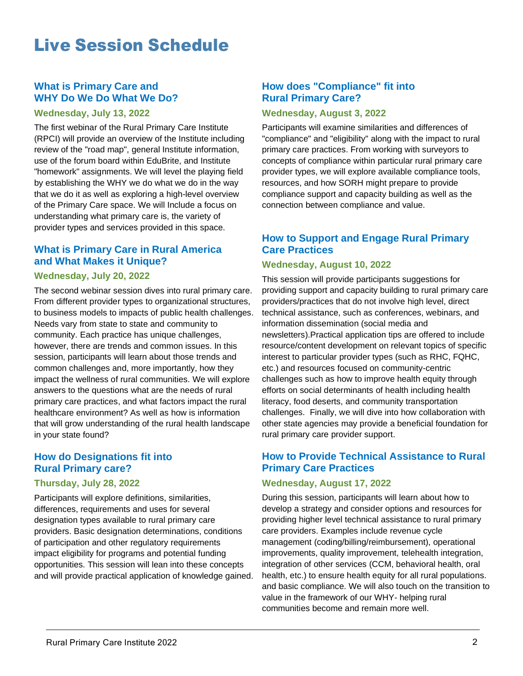# Live Session Schedule

#### **What is Primary Care and WHY Do We Do What We Do?**

#### **Wednesday, July 13, 2022**

The first webinar of the Rural Primary Care Institute (RPCI) will provide an overview of the Institute including review of the "road map", general Institute information, use of the forum board within EduBrite, and Institute "homework" assignments. We will level the playing field by establishing the WHY we do what we do in the way that we do it as well as exploring a high-level overview of the Primary Care space. We will Include a focus on understanding what primary care is, the variety of provider types and services provided in this space.

#### **What is Primary Care in Rural America and What Makes it Unique?**

#### **Wednesday, July 20, 2022**

The second webinar session dives into rural primary care. From different provider types to organizational structures, to business models to impacts of public health challenges. Needs vary from state to state and community to community. Each practice has unique challenges, however, there are trends and common issues. In this session, participants will learn about those trends and common challenges and, more importantly, how they impact the wellness of rural communities. We will explore answers to the questions what are the needs of rural primary care practices, and what factors impact the rural healthcare environment? As well as how is information that will grow understanding of the rural health landscape in your state found?

#### **How do Designations fit into Rural Primary care?**

#### **Thursday, July 28, 2022**

Participants will explore definitions, similarities, differences, requirements and uses for several designation types available to rural primary care providers. Basic designation determinations, conditions of participation and other regulatory requirements impact eligibility for programs and potential funding opportunities. This session will lean into these concepts and will provide practical application of knowledge gained.

#### **How does "Compliance" fit into Rural Primary Care?**

#### **Wednesday, August 3, 2022**

Participants will examine similarities and differences of "compliance" and "eligibility" along with the impact to rural primary care practices. From working with surveyors to concepts of compliance within particular rural primary care provider types, we will explore available compliance tools, resources, and how SORH might prepare to provide compliance support and capacity building as well as the connection between compliance and value.

#### **How to Support and Engage Rural Primary Care Practices**

#### **Wednesday, August 10, 2022**

This session will provide participants suggestions for providing support and capacity building to rural primary care providers/practices that do not involve high level, direct technical assistance, such as conferences, webinars, and information dissemination (social media and newsletters).Practical application tips are offered to include resource/content development on relevant topics of specific interest to particular provider types (such as RHC, FQHC, etc.) and resources focused on community-centric challenges such as how to improve health equity through efforts on social determinants of health including health literacy, food deserts, and community transportation challenges. Finally, we will dive into how collaboration with other state agencies may provide a beneficial foundation for rural primary care provider support.

#### **How to Provide Technical Assistance to Rural Primary Care Practices**

#### **Wednesday, August 17, 2022**

During this session, participants will learn about how to develop a strategy and consider options and resources for providing higher level technical assistance to rural primary care providers. Examples include revenue cycle management (coding/billing/reimbursement), operational improvements, quality improvement, telehealth integration, integration of other services (CCM, behavioral health, oral health, etc.) to ensure health equity for all rural populations. and basic compliance. We will also touch on the transition to value in the framework of our WHY- helping rural communities become and remain more well.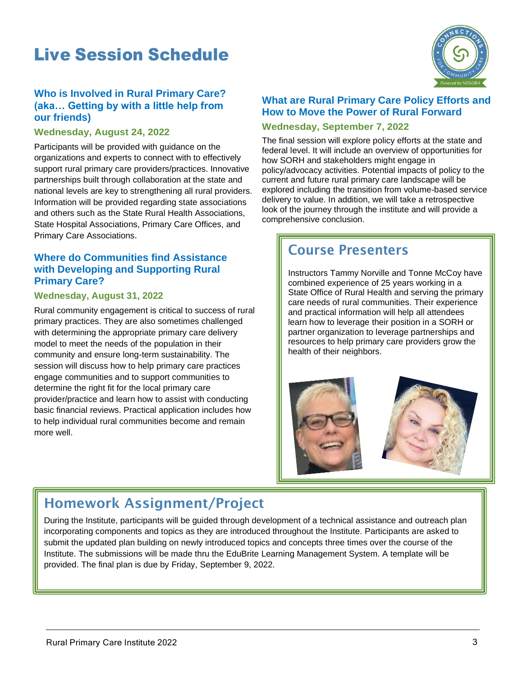# Live Session Schedule



#### **Who is Involved in Rural Primary Care? (aka… Getting by with a little help from our friends)**

#### **Wednesday, August 24, 2022**

Participants will be provided with guidance on the organizations and experts to connect with to effectively support rural primary care providers/practices. Innovative partnerships built through collaboration at the state and national levels are key to strengthening all rural providers. Information will be provided regarding state associations and others such as the State Rural Health Associations, State Hospital Associations, Primary Care Offices, and Primary Care Associations.

#### **Where do Communities find Assistance with Developing and Supporting Rural Primary Care?**

#### **Wednesday, August 31, 2022**

Rural community engagement is critical to success of rural primary practices. They are also sometimes challenged with determining the appropriate primary care delivery model to meet the needs of the population in their community and ensure long-term sustainability. The session will discuss how to help primary care practices engage communities and to support communities to determine the right fit for the local primary care provider/practice and learn how to assist with conducting basic financial reviews. Practical application includes how to help individual rural communities become and remain more well.

#### **What are Rural Primary Care Policy Efforts and How to Move the Power of Rural Forward**

#### **Wednesday, September 7, 2022**

The final session will explore policy efforts at the state and federal level. It will include an overview of opportunities for how SORH and stakeholders might engage in policy/advocacy activities. Potential impacts of policy to the current and future rural primary care landscape will be explored including the transition from volume-based service delivery to value. In addition, we will take a retrospective look of the journey through the institute and will provide a comprehensive conclusion.

# Course Presenters

Instructors Tammy Norville and Tonne McCoy have combined experience of 25 years working in a State Office of Rural Health and serving the primary care needs of rural communities. Their experience and practical information will help all attendees learn how to leverage their position in a SORH or partner organization to leverage partnerships and resources to help primary care providers grow the health of their neighbors.



# Homework Assignment/Project

During the Institute, participants will be guided through development of a technical assistance and outreach plan incorporating components and topics as they are introduced throughout the Institute. Participants are asked to submit the updated plan building on newly introduced topics and concepts three times over the course of the Institute. The submissions will be made thru the EduBrite Learning Management System. A template will be provided. The final plan is due by Friday, September 9, 2022.